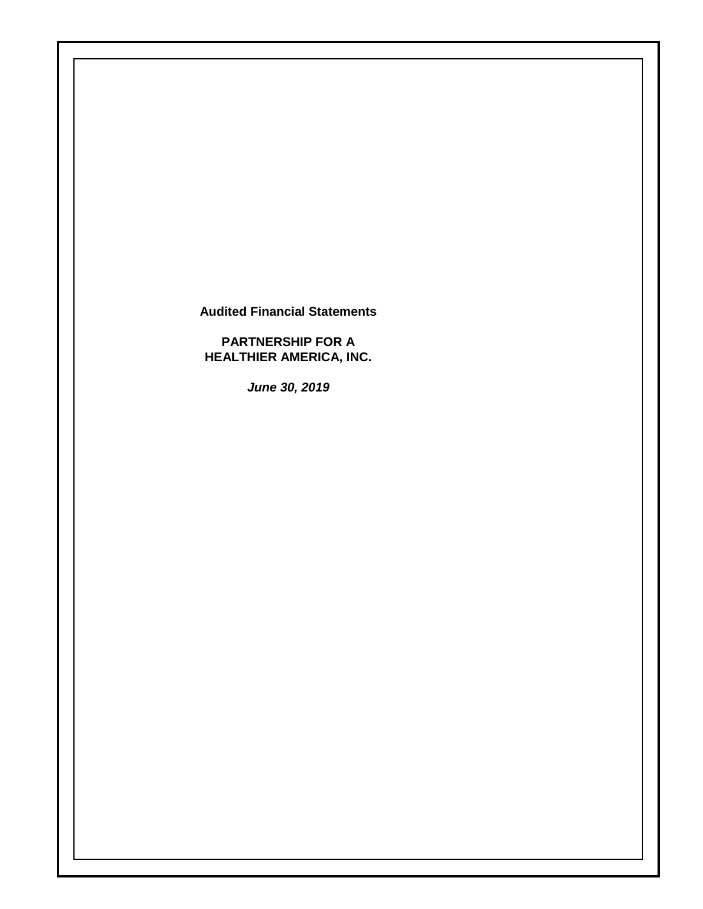**Audited Financial Statements**

**PARTNERSHIP FOR A HEALTHIER AMERICA, INC.**

*June 30, 2019*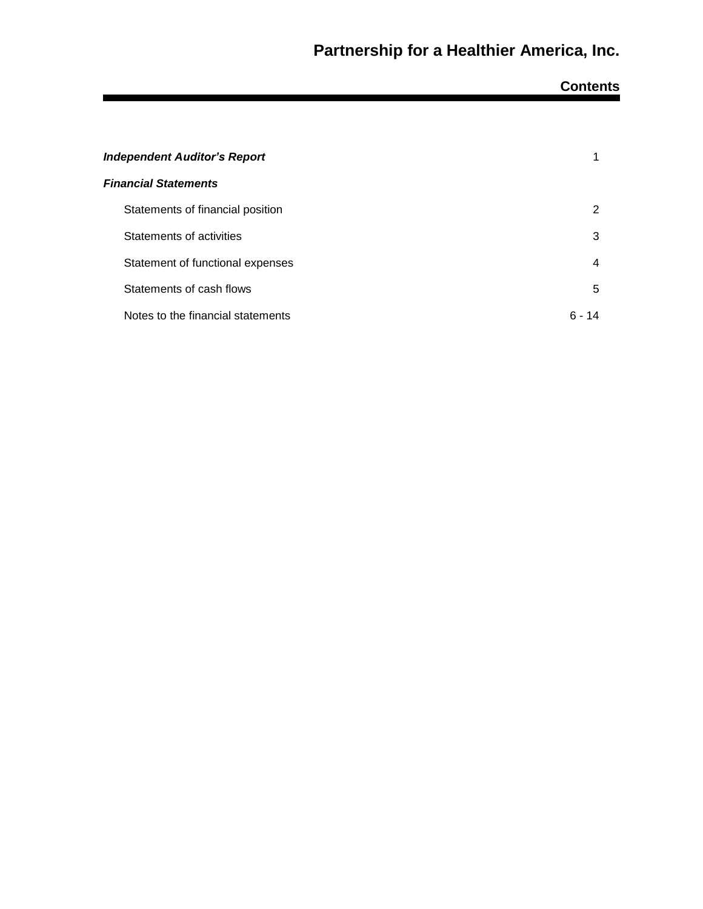# **Contents**

| <b>Independent Auditor's Report</b> |           |  |
|-------------------------------------|-----------|--|
| <b>Financial Statements</b>         |           |  |
| Statements of financial position    | 2         |  |
| Statements of activities            | 3         |  |
| Statement of functional expenses    | 4         |  |
| Statements of cash flows            | 5         |  |
| Notes to the financial statements   | հ -<br>14 |  |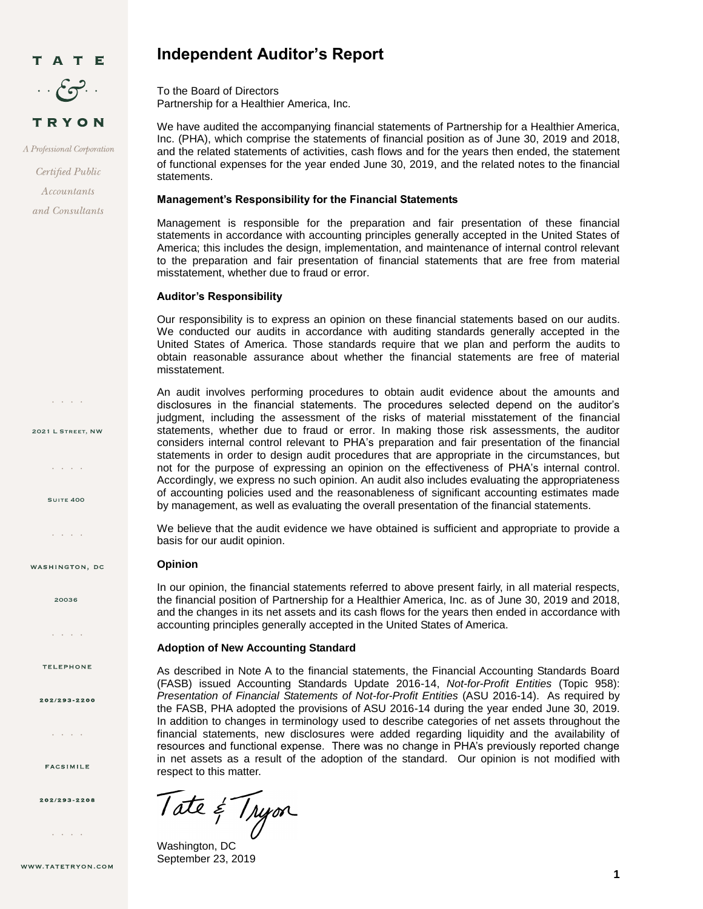

A Professional Corporation

Certified Public Accountants and Consultants

 $\mathcal{L} = \mathcal{L} \times \mathcal{L} \times \mathcal{L}$ 

2021 L Street, NW

 $\alpha = \alpha - \alpha = \alpha$ 

**SUITE 400** 

**Service** State

WASHINGTON, DC

**TELEPHONE** 

202/293-2200

and a state

FACSIMILE

202/293-2208

 $\mathcal{L}^{\mathcal{A}}$  ,  $\mathcal{L}^{\mathcal{A}}$  ,  $\mathcal{L}^{\mathcal{A}}$  ,  $\mathcal{L}^{\mathcal{A}}$ 

20036

 $\mathbf{r} = \mathbf{r} + \mathbf{r} + \mathbf{r}$ 

WWW.TATETRYON.COM

### **Independent Auditor's Report**

To the Board of Directors Partnership for a Healthier America, Inc.

We have audited the accompanying financial statements of Partnership for a Healthier America, Inc. (PHA), which comprise the statements of financial position as of June 30, 2019 and 2018, and the related statements of activities, cash flows and for the years then ended, the statement of functional expenses for the year ended June 30, 2019, and the related notes to the financial statements.

#### **Management's Responsibility for the Financial Statements**

Management is responsible for the preparation and fair presentation of these financial statements in accordance with accounting principles generally accepted in the United States of America; this includes the design, implementation, and maintenance of internal control relevant to the preparation and fair presentation of financial statements that are free from material misstatement, whether due to fraud or error.

#### **Auditor's Responsibility**

Our responsibility is to express an opinion on these financial statements based on our audits. We conducted our audits in accordance with auditing standards generally accepted in the United States of America. Those standards require that we plan and perform the audits to obtain reasonable assurance about whether the financial statements are free of material misstatement.

An audit involves performing procedures to obtain audit evidence about the amounts and disclosures in the financial statements. The procedures selected depend on the auditor's judgment, including the assessment of the risks of material misstatement of the financial statements, whether due to fraud or error. In making those risk assessments, the auditor considers internal control relevant to PHA's preparation and fair presentation of the financial statements in order to design audit procedures that are appropriate in the circumstances, but not for the purpose of expressing an opinion on the effectiveness of PHA's internal control. Accordingly, we express no such opinion. An audit also includes evaluating the appropriateness of accounting policies used and the reasonableness of significant accounting estimates made by management, as well as evaluating the overall presentation of the financial statements.

We believe that the audit evidence we have obtained is sufficient and appropriate to provide a basis for our audit opinion.

#### **Opinion**

In our opinion, the financial statements referred to above present fairly, in all material respects, the financial position of Partnership for a Healthier America, Inc. as of June 30, 2019 and 2018, and the changes in its net assets and its cash flows for the years then ended in accordance with accounting principles generally accepted in the United States of America.

#### **Adoption of New Accounting Standard**

As described in Note A to the financial statements, the Financial Accounting Standards Board (FASB) issued Accounting Standards Update 2016-14, *Not-for-Profit Entities* (Topic 958): *Presentation of Financial Statements of Not-for-Profit Entities* (ASU 2016-14). As required by the FASB, PHA adopted the provisions of ASU 2016-14 during the year ended June 30, 2019. In addition to changes in terminology used to describe categories of net assets throughout the financial statements, new disclosures were added regarding liquidity and the availability of resources and functional expense. There was no change in PHA's previously reported change in net assets as a result of the adoption of the standard. Our opinion is not modified with respect to this matter.

Tate & Trypon

September 23, 2019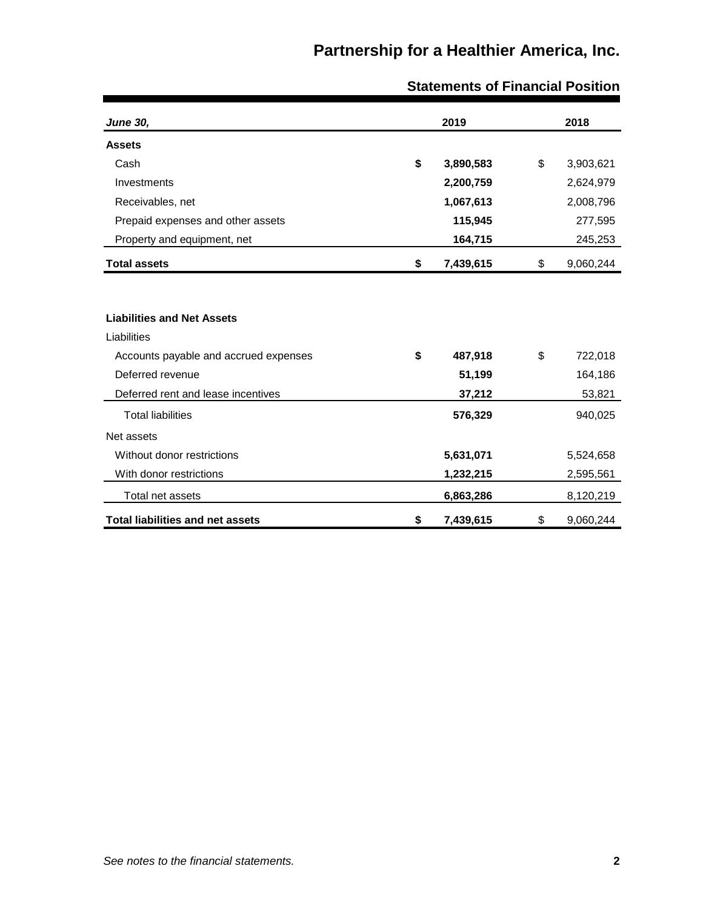| <b>June 30,</b>                         | 2019            | 2018            |
|-----------------------------------------|-----------------|-----------------|
| <b>Assets</b>                           |                 |                 |
| Cash                                    | \$<br>3,890,583 | \$<br>3,903,621 |
| Investments                             | 2,200,759       | 2,624,979       |
| Receivables, net                        | 1,067,613       | 2,008,796       |
| Prepaid expenses and other assets       | 115,945         | 277,595         |
| Property and equipment, net             | 164,715         | 245,253         |
| <b>Total assets</b>                     | \$<br>7,439,615 | \$<br>9,060,244 |
|                                         |                 |                 |
| <b>Liabilities and Net Assets</b>       |                 |                 |
| Liabilities                             |                 |                 |
| Accounts payable and accrued expenses   | \$<br>487,918   | \$<br>722,018   |
| Deferred revenue                        | 51,199          | 164,186         |
| Deferred rent and lease incentives      | 37,212          | 53,821          |
| <b>Total liabilities</b>                | 576,329         | 940,025         |
| Net assets                              |                 |                 |
| Without donor restrictions              | 5,631,071       | 5,524,658       |
| With donor restrictions                 | 1,232,215       | 2,595,561       |
| Total net assets                        | 6,863,286       | 8,120,219       |
| <b>Total liabilities and net assets</b> | \$<br>7,439,615 | \$<br>9,060,244 |

### **Statements of Financial Position**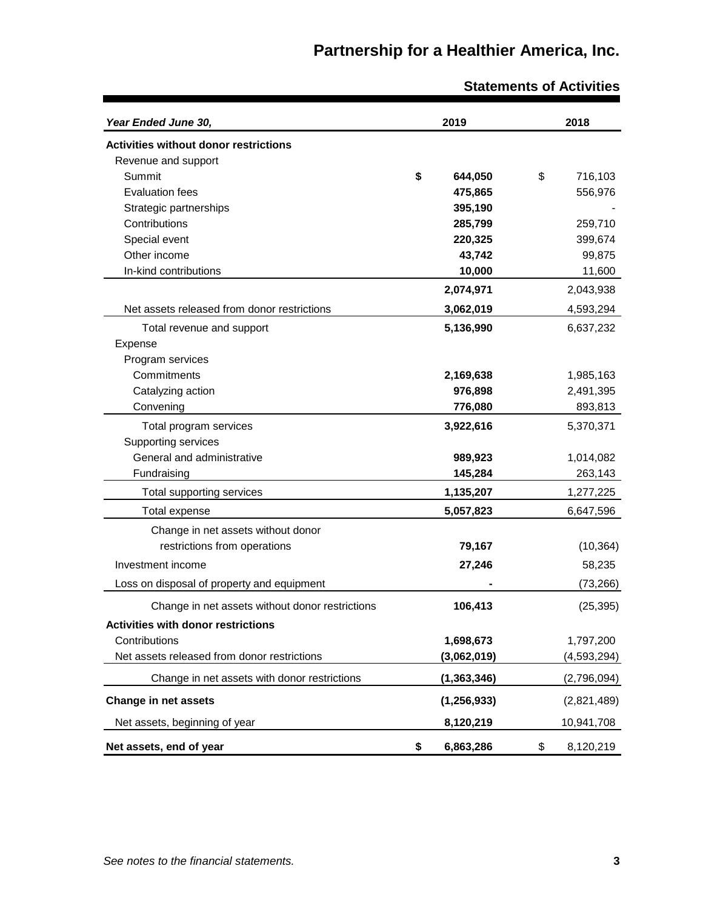| Year Ended June 30,                             | 2019            | 2018            |
|-------------------------------------------------|-----------------|-----------------|
| <b>Activities without donor restrictions</b>    |                 |                 |
| Revenue and support                             |                 |                 |
| Summit                                          | \$<br>644,050   | \$<br>716,103   |
| <b>Evaluation fees</b>                          | 475,865         | 556,976         |
| Strategic partnerships                          | 395,190         |                 |
| Contributions                                   | 285,799         | 259,710         |
| Special event                                   | 220,325         | 399,674         |
| Other income                                    | 43,742          | 99,875          |
| In-kind contributions                           | 10,000          | 11,600          |
|                                                 | 2,074,971       | 2,043,938       |
| Net assets released from donor restrictions     | 3,062,019       | 4,593,294       |
| Total revenue and support                       | 5,136,990       | 6,637,232       |
| Expense                                         |                 |                 |
| Program services                                |                 |                 |
| Commitments                                     | 2,169,638       | 1,985,163       |
| Catalyzing action                               | 976,898         | 2,491,395       |
| Convening                                       | 776,080         | 893,813         |
| Total program services                          | 3,922,616       | 5,370,371       |
| Supporting services                             |                 |                 |
| General and administrative                      | 989,923         | 1,014,082       |
| Fundraising                                     | 145,284         | 263,143         |
| Total supporting services                       | 1,135,207       | 1,277,225       |
| Total expense                                   | 5,057,823       | 6,647,596       |
| Change in net assets without donor              |                 |                 |
| restrictions from operations                    | 79,167          | (10, 364)       |
| Investment income                               | 27,246          | 58,235          |
| Loss on disposal of property and equipment      |                 | (73, 266)       |
| Change in net assets without donor restrictions | 106,413         | (25, 395)       |
| <b>Activities with donor restrictions</b>       |                 |                 |
| Contributions                                   | 1,698,673       | 1,797,200       |
| Net assets released from donor restrictions     | (3,062,019)     | (4, 593, 294)   |
| Change in net assets with donor restrictions    | (1, 363, 346)   | (2,796,094)     |
| <b>Change in net assets</b>                     | (1, 256, 933)   | (2,821,489)     |
| Net assets, beginning of year                   | 8,120,219       | 10,941,708      |
| Net assets, end of year                         | \$<br>6,863,286 | \$<br>8,120,219 |

#### **Statements of Activities**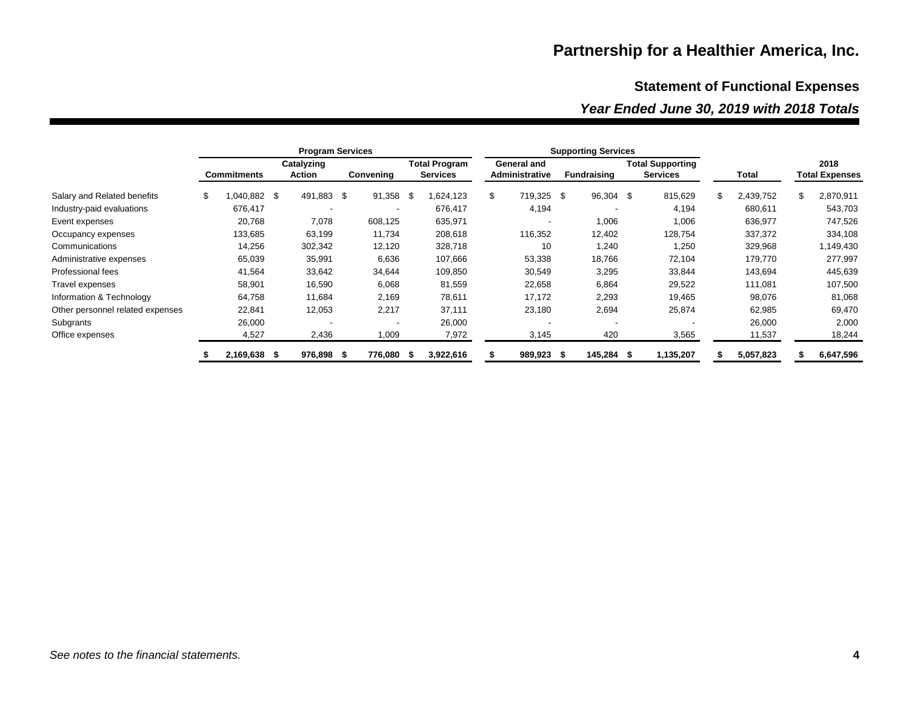### **Statement of Functional Expenses** *Year Ended June 30, 2019 with 2018 Totals*

|                                  | <b>Program Services</b> |                    |  |                      | <b>Supporting Services</b> |           |      |                                         |                               |      |                    |      |                                            |    |           |                               |
|----------------------------------|-------------------------|--------------------|--|----------------------|----------------------------|-----------|------|-----------------------------------------|-------------------------------|------|--------------------|------|--------------------------------------------|----|-----------|-------------------------------|
|                                  |                         | <b>Commitments</b> |  | Catalyzing<br>Action |                            | Convening |      | <b>Total Program</b><br><b>Services</b> | General and<br>Administrative |      | <b>Fundraising</b> |      | <b>Total Supporting</b><br><b>Services</b> |    | Total     | 2018<br><b>Total Expenses</b> |
| Salary and Related benefits      | \$                      | $,040.882$ \$      |  | 491,883 \$           |                            | 91,358    | -\$  | .624,123                                | \$<br>719,325 \$              |      | 96,304 \$          |      | 815,629                                    | £. | 2,439,752 | \$<br>2,870,911               |
| Industry-paid evaluations        |                         | 676,417            |  |                      |                            |           |      | 676,417                                 | 4,194                         |      |                    |      | 4,194                                      |    | 680,611   | 543,703                       |
| Event expenses                   |                         | 20,768             |  | 7,078                |                            | 608,125   |      | 635,971                                 | -                             |      | 1,006              |      | 1,006                                      |    | 636,977   | 747,526                       |
| Occupancy expenses               |                         | 133,685            |  | 63,199               |                            | 11,734    |      | 208,618                                 | 116,352                       |      | 12,402             |      | 128,754                                    |    | 337,372   | 334,108                       |
| Communications                   |                         | 14,256             |  | 302,342              |                            | 12,120    |      | 328,718                                 | 10                            |      | 1,240              |      | 1,250                                      |    | 329,968   | 1,149,430                     |
| Administrative expenses          |                         | 65,039             |  | 35,991               |                            | 6,636     |      | 107,666                                 | 53,338                        |      | 18,766             |      | 72,104                                     |    | 179,770   | 277,997                       |
| Professional fees                |                         | 41,564             |  | 33,642               |                            | 34,644    |      | 109,850                                 | 30,549                        |      | 3,295              |      | 33,844                                     |    | 143,694   | 445,639                       |
| Travel expenses                  |                         | 58,901             |  | 16,590               |                            | 6,068     |      | 81,559                                  | 22,658                        |      | 6,864              |      | 29,522                                     |    | 111,081   | 107,500                       |
| Information & Technology         |                         | 64,758             |  | 11,684               |                            | 2,169     |      | 78,611                                  | 17,172                        |      | 2,293              |      | 19,465                                     |    | 98,076    | 81,068                        |
| Other personnel related expenses |                         | 22,841             |  | 12,053               |                            | 2,217     |      | 37,111                                  | 23,180                        |      | 2,694              |      | 25,874                                     |    | 62,985    | 69,470                        |
| Subgrants                        |                         | 26,000             |  |                      |                            |           |      | 26,000                                  |                               |      |                    |      |                                            |    | 26,000    | 2,000                         |
| Office expenses                  |                         | 4,527              |  | 2,436                |                            | 1,009     |      | 7,972                                   | 3,145                         |      | 420                |      | 3,565                                      |    | 11,537    | 18,244                        |
|                                  |                         | $2,169,638$ \$     |  | 976,898              | - 35                       | 776.080   | - 55 | 3,922,616                               | 989,923                       | - 56 | 145,284            | - 56 | 1,135,207                                  |    | 5,057,823 | 6,647,596                     |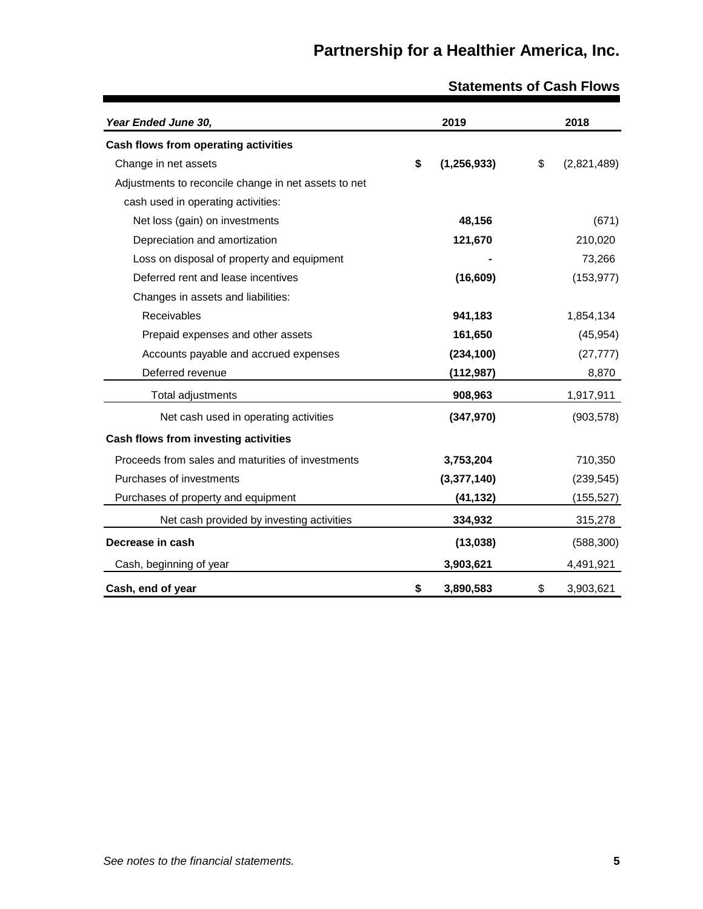| Year Ended June 30,                                  | 2019                | 2018              |
|------------------------------------------------------|---------------------|-------------------|
| Cash flows from operating activities                 |                     |                   |
| Change in net assets                                 | \$<br>(1, 256, 933) | \$<br>(2,821,489) |
| Adjustments to reconcile change in net assets to net |                     |                   |
| cash used in operating activities:                   |                     |                   |
| Net loss (gain) on investments                       | 48,156              | (671)             |
| Depreciation and amortization                        | 121,670             | 210,020           |
| Loss on disposal of property and equipment           |                     | 73,266            |
| Deferred rent and lease incentives                   | (16, 609)           | (153, 977)        |
| Changes in assets and liabilities:                   |                     |                   |
| Receivables                                          | 941,183             | 1,854,134         |
| Prepaid expenses and other assets                    | 161,650             | (45, 954)         |
| Accounts payable and accrued expenses                | (234, 100)          | (27, 777)         |
| Deferred revenue                                     | (112,987)           | 8,870             |
| Total adjustments                                    | 908,963             | 1,917,911         |
| Net cash used in operating activities                | (347, 970)          | (903, 578)        |
| Cash flows from investing activities                 |                     |                   |
| Proceeds from sales and maturities of investments    | 3,753,204           | 710,350           |
| Purchases of investments                             | (3,377,140)         | (239, 545)        |
| Purchases of property and equipment                  | (41, 132)           | (155, 527)        |
| Net cash provided by investing activities            | 334,932             | 315,278           |
| Decrease in cash                                     | (13,038)            | (588, 300)        |
| Cash, beginning of year                              | 3,903,621           | 4,491,921         |
| Cash, end of year                                    | \$<br>3,890,583     | \$<br>3,903,621   |

### **Statements of Cash Flows**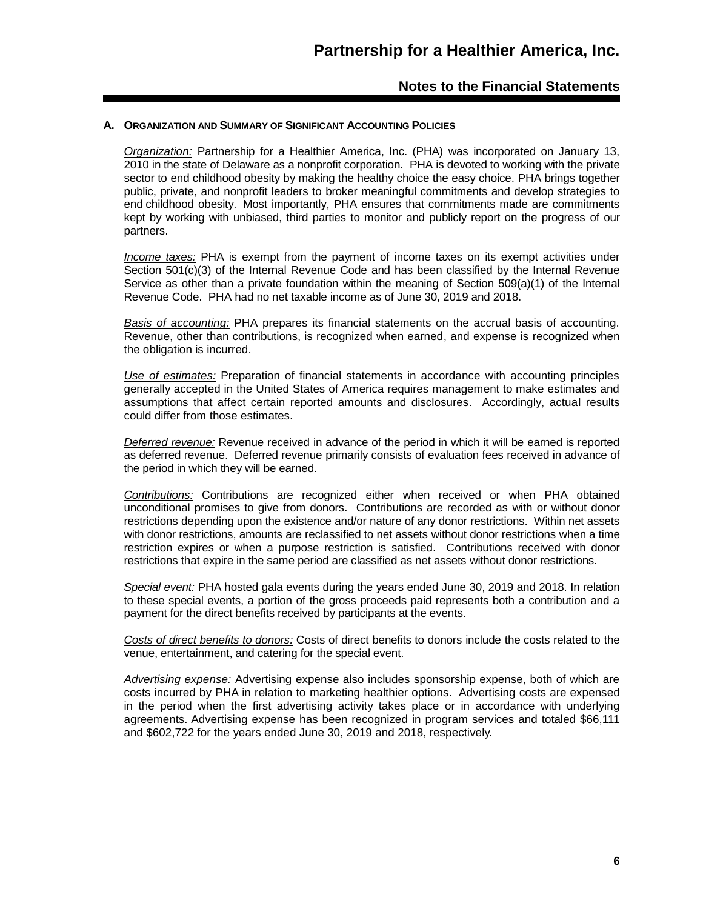#### **A. ORGANIZATION AND SUMMARY OF SIGNIFICANT ACCOUNTING POLICIES**

*Organization:* Partnership for a Healthier America, Inc. (PHA) was incorporated on January 13, 2010 in the state of Delaware as a nonprofit corporation. PHA is devoted to working with the private sector to end childhood obesity by making the healthy choice the easy choice. PHA brings together public, private, and nonprofit leaders to broker meaningful commitments and develop strategies to end childhood obesity. Most importantly, PHA ensures that commitments made are commitments kept by working with unbiased, third parties to monitor and publicly report on the progress of our partners.

*Income taxes:* PHA is exempt from the payment of income taxes on its exempt activities under Section 501(c)(3) of the Internal Revenue Code and has been classified by the Internal Revenue Service as other than a private foundation within the meaning of Section 509(a)(1) of the Internal Revenue Code. PHA had no net taxable income as of June 30, 2019 and 2018.

*Basis of accounting:* PHA prepares its financial statements on the accrual basis of accounting. Revenue, other than contributions, is recognized when earned, and expense is recognized when the obligation is incurred.

*Use of estimates:* Preparation of financial statements in accordance with accounting principles generally accepted in the United States of America requires management to make estimates and assumptions that affect certain reported amounts and disclosures. Accordingly, actual results could differ from those estimates.

*Deferred revenue:* Revenue received in advance of the period in which it will be earned is reported as deferred revenue. Deferred revenue primarily consists of evaluation fees received in advance of the period in which they will be earned.

*Contributions:* Contributions are recognized either when received or when PHA obtained unconditional promises to give from donors. Contributions are recorded as with or without donor restrictions depending upon the existence and/or nature of any donor restrictions. Within net assets with donor restrictions, amounts are reclassified to net assets without donor restrictions when a time restriction expires or when a purpose restriction is satisfied. Contributions received with donor restrictions that expire in the same period are classified as net assets without donor restrictions.

*Special event:* PHA hosted gala events during the years ended June 30, 2019 and 2018. In relation to these special events, a portion of the gross proceeds paid represents both a contribution and a payment for the direct benefits received by participants at the events.

*Costs of direct benefits to donors:* Costs of direct benefits to donors include the costs related to the venue, entertainment, and catering for the special event.

*Advertising expense:* Advertising expense also includes sponsorship expense, both of which are costs incurred by PHA in relation to marketing healthier options. Advertising costs are expensed in the period when the first advertising activity takes place or in accordance with underlying agreements. Advertising expense has been recognized in program services and totaled \$66,111 and \$602,722 for the years ended June 30, 2019 and 2018, respectively.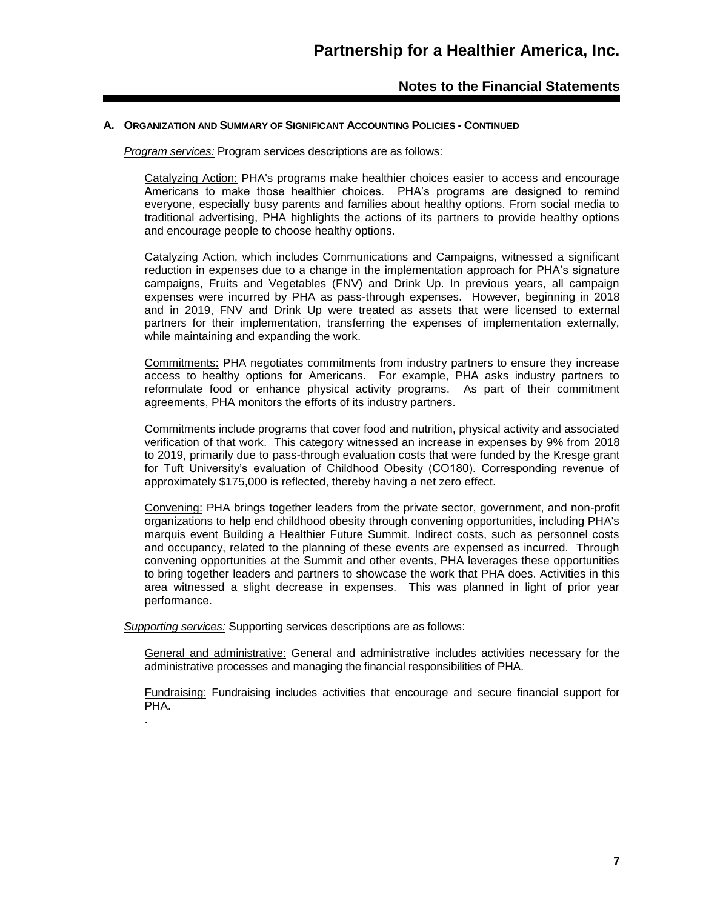#### **A. ORGANIZATION AND SUMMARY OF SIGNIFICANT ACCOUNTING POLICIES - CONTINUED**

*Program services:* Program services descriptions are as follows:

Catalyzing Action: PHA's programs make healthier choices easier to access and encourage Americans to make those healthier choices. PHA's programs are designed to remind everyone, especially busy parents and families about healthy options. From social media to traditional advertising, PHA highlights the actions of its partners to provide healthy options and encourage people to choose healthy options.

Catalyzing Action, which includes Communications and Campaigns, witnessed a significant reduction in expenses due to a change in the implementation approach for PHA's signature campaigns, Fruits and Vegetables (FNV) and Drink Up. In previous years, all campaign expenses were incurred by PHA as pass-through expenses. However, beginning in 2018 and in 2019, FNV and Drink Up were treated as assets that were licensed to external partners for their implementation, transferring the expenses of implementation externally, while maintaining and expanding the work.

Commitments: PHA negotiates commitments from industry partners to ensure they increase access to healthy options for Americans. For example, PHA asks industry partners to reformulate food or enhance physical activity programs. As part of their commitment agreements, PHA monitors the efforts of its industry partners.

Commitments include programs that cover food and nutrition, physical activity and associated verification of that work. This category witnessed an increase in expenses by 9% from 2018 to 2019, primarily due to pass-through evaluation costs that were funded by the Kresge grant for Tuft University's evaluation of Childhood Obesity (CO180). Corresponding revenue of approximately \$175,000 is reflected, thereby having a net zero effect.

Convening: PHA brings together leaders from the private sector, government, and non-profit organizations to help end childhood obesity through convening opportunities, including PHA's marquis event Building a Healthier Future Summit. Indirect costs, such as personnel costs and occupancy, related to the planning of these events are expensed as incurred. Through convening opportunities at the Summit and other events, PHA leverages these opportunities to bring together leaders and partners to showcase the work that PHA does. Activities in this area witnessed a slight decrease in expenses. This was planned in light of prior year performance.

*Supporting services:* Supporting services descriptions are as follows:

.

General and administrative: General and administrative includes activities necessary for the administrative processes and managing the financial responsibilities of PHA.

Fundraising: Fundraising includes activities that encourage and secure financial support for PHA.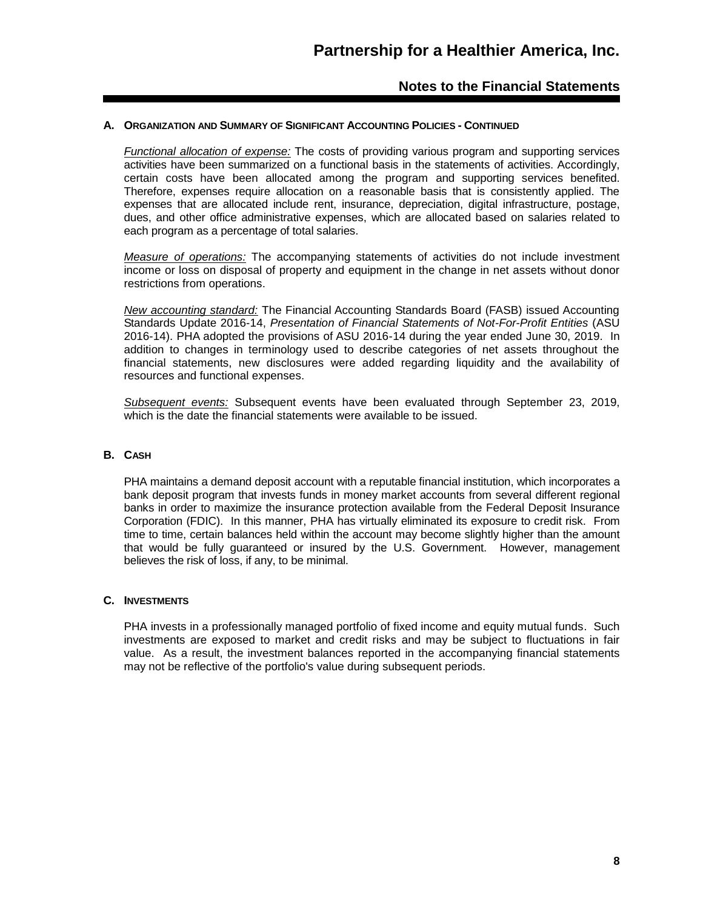#### **A. ORGANIZATION AND SUMMARY OF SIGNIFICANT ACCOUNTING POLICIES - CONTINUED**

*Functional allocation of expense:* The costs of providing various program and supporting services activities have been summarized on a functional basis in the statements of activities. Accordingly, certain costs have been allocated among the program and supporting services benefited. Therefore, expenses require allocation on a reasonable basis that is consistently applied. The expenses that are allocated include rent, insurance, depreciation, digital infrastructure, postage, dues, and other office administrative expenses, which are allocated based on salaries related to each program as a percentage of total salaries.

*Measure of operations:* The accompanying statements of activities do not include investment income or loss on disposal of property and equipment in the change in net assets without donor restrictions from operations.

*New accounting standard:* The Financial Accounting Standards Board (FASB) issued Accounting Standards Update 2016-14, *Presentation of Financial Statements of Not-For-Profit Entities* (ASU 2016-14). PHA adopted the provisions of ASU 2016-14 during the year ended June 30, 2019. In addition to changes in terminology used to describe categories of net assets throughout the financial statements, new disclosures were added regarding liquidity and the availability of resources and functional expenses.

*Subsequent events:* Subsequent events have been evaluated through September 23, 2019, which is the date the financial statements were available to be issued.

#### **B. CASH**

PHA maintains a demand deposit account with a reputable financial institution, which incorporates a bank deposit program that invests funds in money market accounts from several different regional banks in order to maximize the insurance protection available from the Federal Deposit Insurance Corporation (FDIC). In this manner, PHA has virtually eliminated its exposure to credit risk. From time to time, certain balances held within the account may become slightly higher than the amount that would be fully guaranteed or insured by the U.S. Government. However, management believes the risk of loss, if any, to be minimal.

#### **C. INVESTMENTS**

PHA invests in a professionally managed portfolio of fixed income and equity mutual funds. Such investments are exposed to market and credit risks and may be subject to fluctuations in fair value. As a result, the investment balances reported in the accompanying financial statements may not be reflective of the portfolio's value during subsequent periods.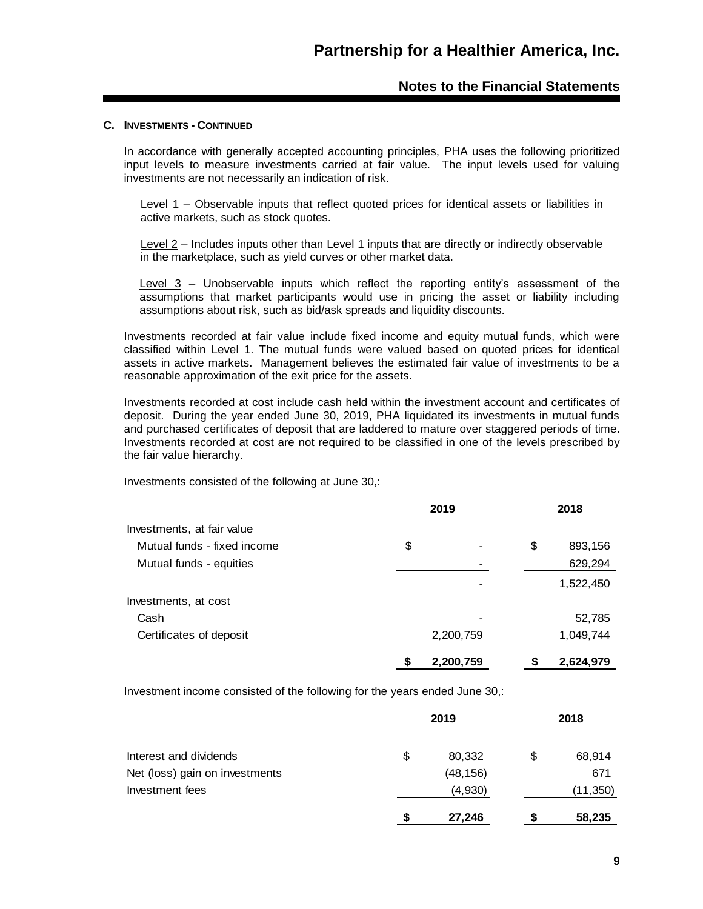#### **C. INVESTMENTS - CONTINUED**

In accordance with generally accepted accounting principles, PHA uses the following prioritized input levels to measure investments carried at fair value. The input levels used for valuing investments are not necessarily an indication of risk.

Level 1 – Observable inputs that reflect quoted prices for identical assets or liabilities in active markets, such as stock quotes.

Level 2 – Includes inputs other than Level 1 inputs that are directly or indirectly observable in the marketplace, such as yield curves or other market data.

Level  $3$  – Unobservable inputs which reflect the reporting entity's assessment of the assumptions that market participants would use in pricing the asset or liability including assumptions about risk, such as bid/ask spreads and liquidity discounts.

Investments recorded at fair value include fixed income and equity mutual funds, which were classified within Level 1. The mutual funds were valued based on quoted prices for identical assets in active markets. Management believes the estimated fair value of investments to be a reasonable approximation of the exit price for the assets.

Investments recorded at cost include cash held within the investment account and certificates of deposit. During the year ended June 30, 2019, PHA liquidated its investments in mutual funds and purchased certificates of deposit that are laddered to mature over staggered periods of time. Investments recorded at cost are not required to be classified in one of the levels prescribed by the fair value hierarchy.

Investments consisted of the following at June 30,:

|                             | 2019            | 2018            |
|-----------------------------|-----------------|-----------------|
| Investments, at fair value  |                 |                 |
| Mutual funds - fixed income | \$              | \$<br>893,156   |
| Mutual funds - equities     |                 | 629,294         |
|                             |                 | 1,522,450       |
| Investments, at cost        |                 |                 |
| Cash                        |                 | 52,785          |
| Certificates of deposit     | 2,200,759       | 1,049,744       |
|                             | \$<br>2,200,759 | \$<br>2,624,979 |

Investment income consisted of the following for the years ended June 30,:

| Interest and dividends         |    | 2018      |              |
|--------------------------------|----|-----------|--------------|
|                                | \$ | 80,332    | \$<br>68,914 |
| Net (loss) gain on investments |    | (48, 156) | 671          |
| Investment fees                |    | (4,930)   | (11, 350)    |
|                                | \$ | 27,246    | \$<br>58,235 |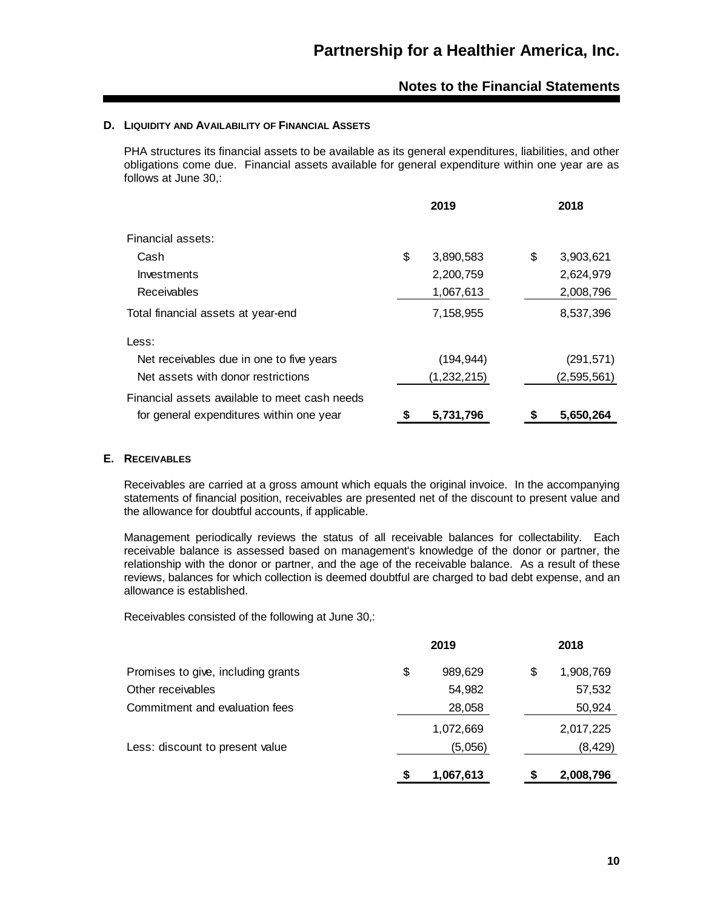#### **D. LIQUIDITY AND AVAILABILITY OF FINANCIAL ASSETS**

PHA structures its financial assets to be available as its general expenditures, liabilities, and other obligations come due. Financial assets available for general expenditure within one year are as follows at June 30,:

|                                               | 2019            |    | 2018        |
|-----------------------------------------------|-----------------|----|-------------|
| Financial assets:                             |                 |    |             |
| Cash                                          | \$<br>3,890,583 | \$ | 3,903,621   |
| Investments                                   | 2,200,759       |    | 2,624,979   |
| Receivables                                   | 1,067,613       |    | 2,008,796   |
| Total financial assets at year-end            | 7,158,955       |    | 8,537,396   |
| Less:                                         |                 |    |             |
| Net receivables due in one to five years      | (194, 944)      |    | (291, 571)  |
| Net assets with donor restrictions            | (1, 232, 215)   |    | (2,595,561) |
| Financial assets available to meet cash needs |                 |    |             |
| for general expenditures within one year      | 5,731,796       |    | 5,650,264   |

#### **E. RECEIVABLES**

Receivables are carried at a gross amount which equals the original invoice. In the accompanying statements of financial position, receivables are presented net of the discount to present value and the allowance for doubtful accounts, if applicable.

Management periodically reviews the status of all receivable balances for collectability. Each receivable balance is assessed based on management's knowledge of the donor or partner, the relationship with the donor or partner, and the age of the receivable balance. As a result of these reviews, balances for which collection is deemed doubtful are charged to bad debt expense, and an allowance is established.

Receivables consisted of the following at June 30,:

|                                    | 2019            | 2018            |
|------------------------------------|-----------------|-----------------|
| Promises to give, including grants | \$<br>989.629   | \$<br>1,908,769 |
| Other receivables                  | 54,982          | 57,532          |
| Commitment and evaluation fees     | 28,058          | 50,924          |
|                                    | 1,072,669       | 2,017,225       |
| Less: discount to present value    | (5,056)         | (8, 429)        |
|                                    | \$<br>1,067,613 | \$<br>2,008,796 |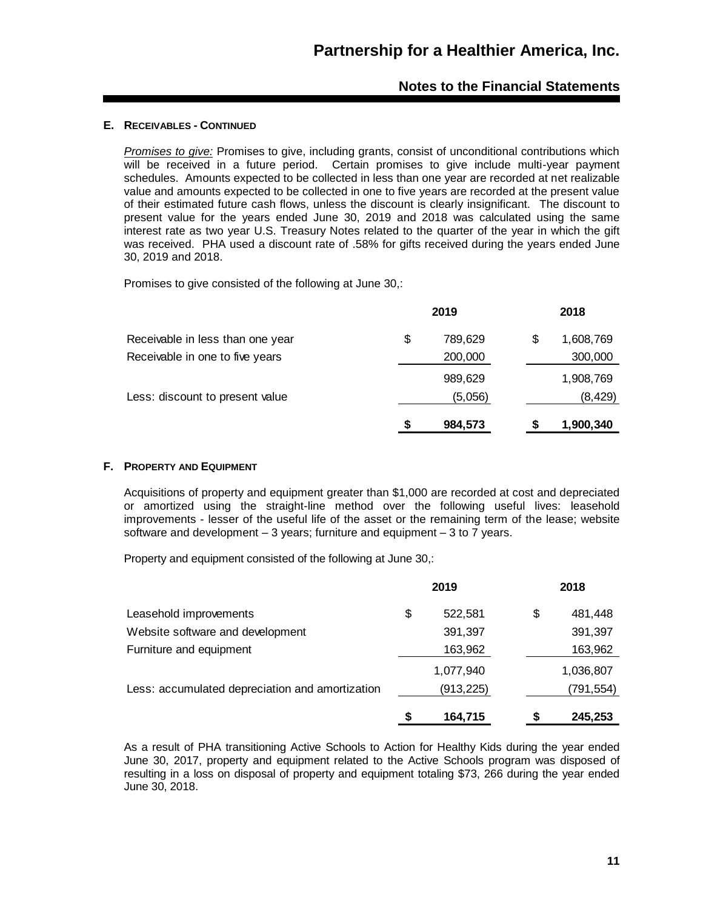#### **E. RECEIVABLES - CONTINUED**

*Promises to give:* Promises to give, including grants, consist of unconditional contributions which will be received in a future period. Certain promises to give include multi-year payment schedules. Amounts expected to be collected in less than one year are recorded at net realizable value and amounts expected to be collected in one to five years are recorded at the present value of their estimated future cash flows, unless the discount is clearly insignificant. The discount to present value for the years ended June 30, 2019 and 2018 was calculated using the same interest rate as two year U.S. Treasury Notes related to the quarter of the year in which the gift was received. PHA used a discount rate of .58% for gifts received during the years ended June 30, 2019 and 2018.

Promises to give consisted of the following at June 30,:

|                                  |    | 2019    |    | 2018      |
|----------------------------------|----|---------|----|-----------|
| Receivable in less than one year | \$ | 789,629 | \$ | 1,608,769 |
| Receivable in one to five years  |    | 200,000 |    | 300,000   |
|                                  |    | 989,629 |    | 1,908,769 |
| Less: discount to present value  |    | (5,056) |    | (8, 429)  |
|                                  | S  | 984,573 | S  | 1,900,340 |

#### **F. PROPERTY AND EQUIPMENT**

Acquisitions of property and equipment greater than \$1,000 are recorded at cost and depreciated or amortized using the straight-line method over the following useful lives: leasehold improvements - lesser of the useful life of the asset or the remaining term of the lease; website software and development – 3 years; furniture and equipment – 3 to  $\overline{7}$  years.

Property and equipment consisted of the following at June 30,:

|                                                 | 2019          |    | 2018       |
|-------------------------------------------------|---------------|----|------------|
| Leasehold improvements                          | \$<br>522.581 | S  | 481,448    |
| Website software and development                | 391,397       |    | 391,397    |
| Furniture and equipment                         | 163,962       |    | 163,962    |
|                                                 | 1,077,940     |    | 1,036,807  |
| Less: accumulated depreciation and amortization | (913, 225)    |    | (791, 554) |
|                                                 | \$<br>164,715 | \$ | 245,253    |

As a result of PHA transitioning Active Schools to Action for Healthy Kids during the year ended June 30, 2017, property and equipment related to the Active Schools program was disposed of resulting in a loss on disposal of property and equipment totaling \$73, 266 during the year ended June 30, 2018.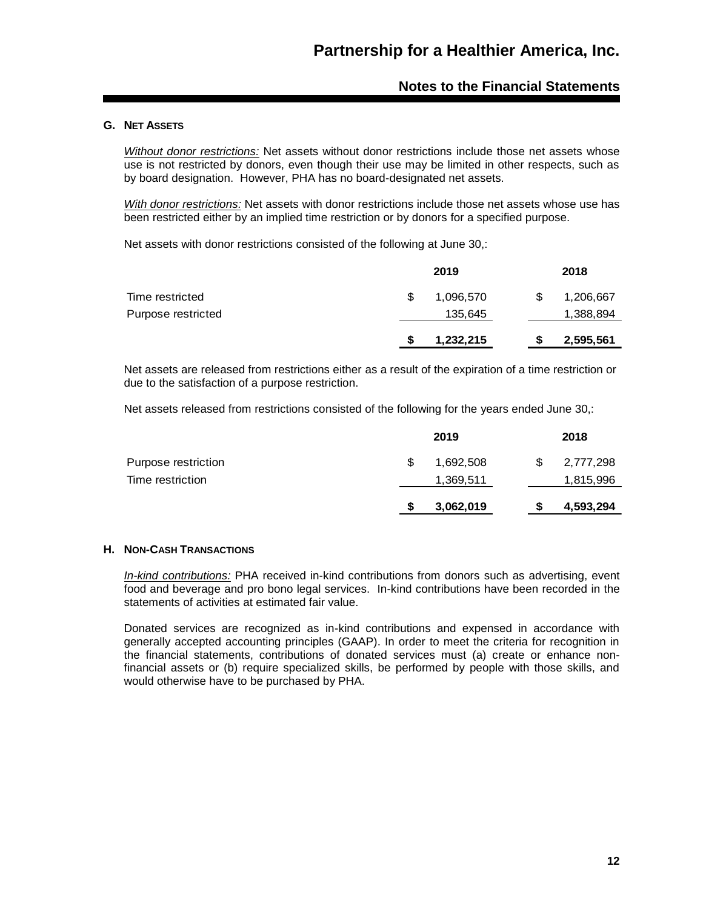#### **G. NET ASSETS**

*Without donor restrictions:* Net assets without donor restrictions include those net assets whose use is not restricted by donors, even though their use may be limited in other respects, such as by board designation. However, PHA has no board-designated net assets.

*With donor restrictions:* Net assets with donor restrictions include those net assets whose use has been restricted either by an implied time restriction or by donors for a specified purpose.

Net assets with donor restrictions consisted of the following at June 30,:

|                    |   | 2019      |   | 2018      |
|--------------------|---|-----------|---|-----------|
| Time restricted    | S | 1,096,570 | S | 1,206,667 |
| Purpose restricted |   | 135,645   |   | 1,388,894 |
|                    |   | 1,232,215 | 5 | 2,595,561 |

Net assets are released from restrictions either as a result of the expiration of a time restriction or due to the satisfaction of a purpose restriction.

Net assets released from restrictions consisted of the following for the years ended June 30,:

|                     |     | 2019      |   | 2018      |
|---------------------|-----|-----------|---|-----------|
| Purpose restriction | \$. | 1,692,508 | S | 2,777,298 |
| Time restriction    |     | 1,369,511 |   | 1,815,996 |
|                     |     | 3,062,019 |   | 4,593,294 |

#### **H. NON-CASH TRANSACTIONS**

*In-kind contributions:* PHA received in-kind contributions from donors such as advertising, event food and beverage and pro bono legal services. In-kind contributions have been recorded in the statements of activities at estimated fair value.

Donated services are recognized as in-kind contributions and expensed in accordance with generally accepted accounting principles (GAAP). In order to meet the criteria for recognition in the financial statements, contributions of donated services must (a) create or enhance nonfinancial assets or (b) require specialized skills, be performed by people with those skills, and would otherwise have to be purchased by PHA.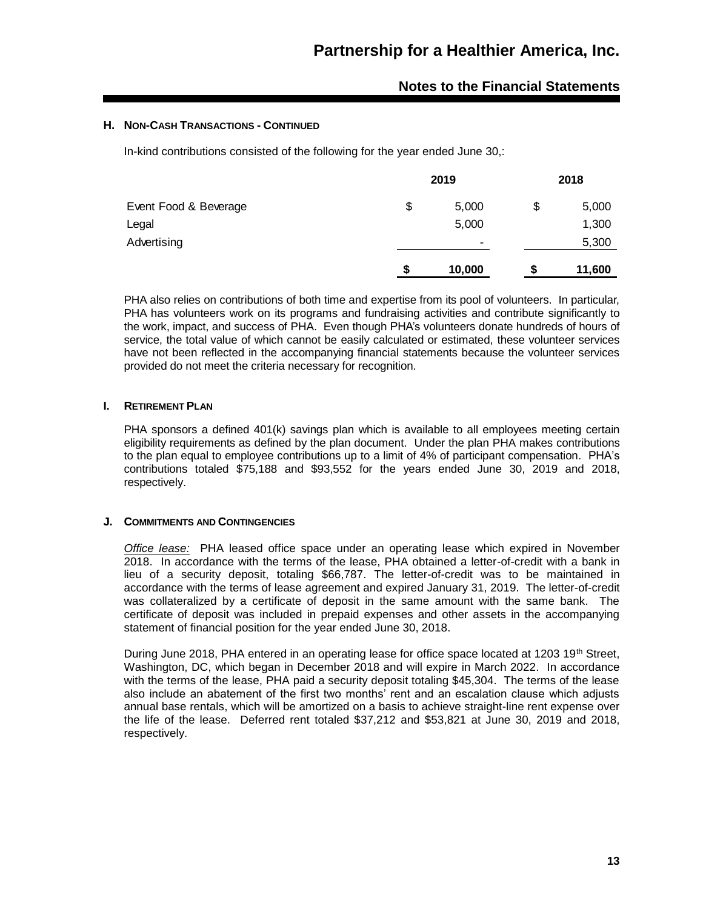#### **H. NON-CASH TRANSACTIONS - CONTINUED**

In-kind contributions consisted of the following for the year ended June 30,:

|                       |    | 2019   | 2018         |
|-----------------------|----|--------|--------------|
| Event Food & Beverage | \$ | 5,000  | \$<br>5,000  |
| Legal                 |    | 5,000  | 1,300        |
| Advertising           |    | ۰      | 5,300        |
|                       | S  | 10,000 | \$<br>11,600 |

PHA also relies on contributions of both time and expertise from its pool of volunteers. In particular, PHA has volunteers work on its programs and fundraising activities and contribute significantly to the work, impact, and success of PHA. Even though PHA's volunteers donate hundreds of hours of service, the total value of which cannot be easily calculated or estimated, these volunteer services have not been reflected in the accompanying financial statements because the volunteer services provided do not meet the criteria necessary for recognition.

#### **I. RETIREMENT PLAN**

PHA sponsors a defined 401(k) savings plan which is available to all employees meeting certain eligibility requirements as defined by the plan document. Under the plan PHA makes contributions to the plan equal to employee contributions up to a limit of 4% of participant compensation. PHA's contributions totaled \$75,188 and \$93,552 for the years ended June 30, 2019 and 2018, respectively.

#### **J. COMMITMENTS AND CONTINGENCIES**

*Office lease:* PHA leased office space under an operating lease which expired in November 2018. In accordance with the terms of the lease, PHA obtained a letter-of-credit with a bank in lieu of a security deposit, totaling \$66,787. The letter-of-credit was to be maintained in accordance with the terms of lease agreement and expired January 31, 2019. The letter-of-credit was collateralized by a certificate of deposit in the same amount with the same bank. The certificate of deposit was included in prepaid expenses and other assets in the accompanying statement of financial position for the year ended June 30, 2018.

During June 2018, PHA entered in an operating lease for office space located at 1203 19th Street, Washington, DC, which began in December 2018 and will expire in March 2022. In accordance with the terms of the lease, PHA paid a security deposit totaling \$45,304. The terms of the lease also include an abatement of the first two months' rent and an escalation clause which adjusts annual base rentals, which will be amortized on a basis to achieve straight-line rent expense over the life of the lease. Deferred rent totaled \$37,212 and \$53,821 at June 30, 2019 and 2018, respectively.